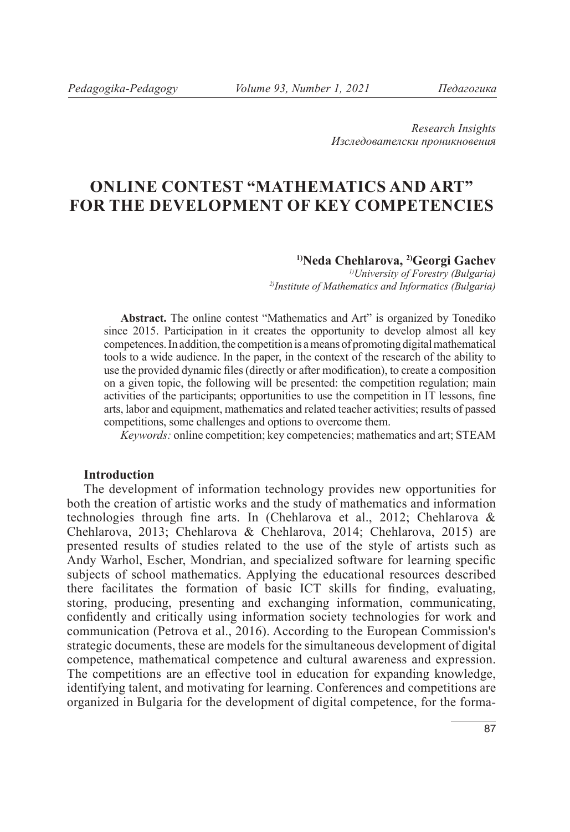*Research Insights Изследователски проникновения*

# **ONLINE CONTEST "MATHEMATICS AND ART" FOR THE DEVELOPMENT OF KEY COMPETENCIES**

#### **1)Neda Chehlarova, 2)Georgi Gachev**

*1)University of Forestry (Bulgaria) 2)Institute of Mathematics and Informatics (Bulgaria)*

**Abstract.** The online contest "Mathematics and Art" is organized by Tonediko since 2015. Participation in it creates the opportunity to develop almost all key competences. In addition, the competition is a means of promoting digital mathematical tools to a wide audience. In the paper, in the context of the research of the ability to use the provided dynamic files (directly or after modification), to create a composition on a given topic, the following will be presented: the competition regulation; main activities of the participants; opportunities to use the competition in IT lessons, fine arts, labor and equipment, mathematics and related teacher activities; results of passed competitions, some challenges and options to overcome them.

*Keywords:* online competition; key competencies; mathematics and art; STEAM

### **Introduction**

The development of information technology provides new opportunities for both the creation of artistic works and the study of mathematics and information technologies through fine arts. In (Chehlarova et al., 2012; Chehlarova & Chehlarova, 2013; Chehlarova & Chehlarova, 2014; Chehlarova, 2015) are presented results of studies related to the use of the style of artists such as Andy Warhol, Escher, Mondrian, and specialized software for learning specific subjects of school mathematics. Applying the educational resources described there facilitates the formation of basic ICT skills for finding, evaluating, storing, producing, presenting and exchanging information, communicating, confidently and critically using information society technologies for work and communication (Petrova et al., 2016). According to the European Commission's strategic documents, these are models for the simultaneous development of digital competence, mathematical competence and cultural awareness and expression. The competitions are an effective tool in education for expanding knowledge, identifying talent, and motivating for learning. Conferences and competitions are organized in Bulgaria for the development of digital competence, for the forma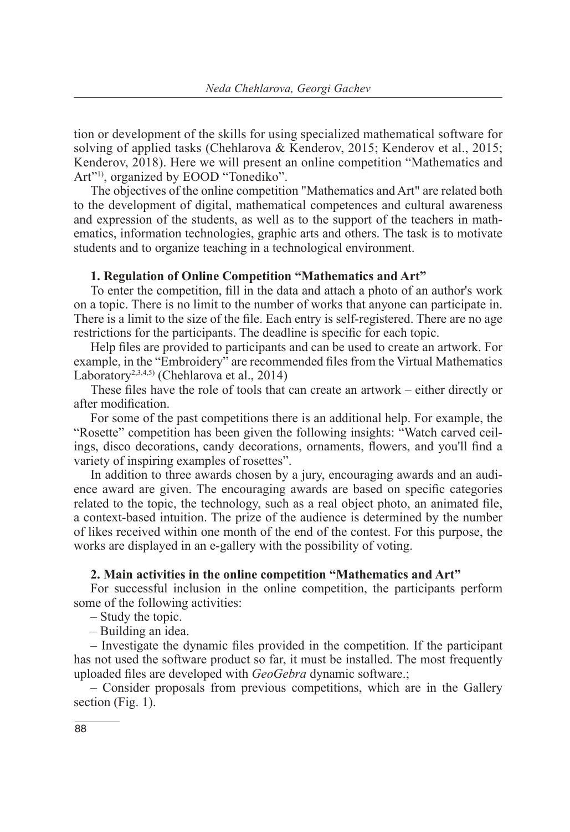tion or development of the skills for using specialized mathematical software for solving of applied tasks (Chehlarova & Kenderov, 2015; Kenderov et al., 2015; Kenderov, 2018). Here we will present an online competition "Mathematics and Art"<sup>1)</sup>, organized by EOOD "Tonediko".

The objectives of the online competition "Mathematics and Art" are related both to the development of digital, mathematical competences and cultural awareness and expression of the students, as well as to the support of the teachers in mathematics, information technologies, graphic arts and others. The task is to motivate students and to organize teaching in a technological environment.

### **1. Regulation of Online Competition "Mathematics and Art"**

To enter the competition, fill in the data and attach a photo of an author's work on a topic. There is no limit to the number of works that anyone can participate in. There is a limit to the size of the file. Each entry is self-registered. There are no age restrictions for the participants. The deadline is specific for each topic.

Help files are provided to participants and can be used to create an artwork. For example, in the "Embroidery" are recommended files from the Virtual Mathematics Laboratory<sup>2,3,4,5)</sup> (Chehlarova et al., 2014)

These files have the role of tools that can create an artwork – either directly or after modification.

For some of the past competitions there is an additional help. For example, the "Rosette" competition has been given the following insights: "Watch carved ceilings, disco decorations, candy decorations, ornaments, flowers, and you'll find a variety of inspiring examples of rosettes".

In addition to three awards chosen by a jury, encouraging awards and an audience award are given. The encouraging awards are based on specific categories related to the topic, the technology, such as a real object photo, an animated file, a context-based intuition. The prize of the audience is determined by the number of likes received within one month of the end of the contest. For this purpose, the works are displayed in an e-gallery with the possibility of voting.

### **2. Main activities in the online competition "Mathematics and Art"**

For successful inclusion in the online competition, the participants perform some of the following activities:

– Study the topic.

– Building an idea.

– Investigate the dynamic files provided in the competition. If the participant has not used the software product so far, it must be installed. The most frequently uploaded files are developed with *GeoGebra* dynamic software.;

– Consider proposals from previous competitions, which are in the Gallery section (Fig. 1).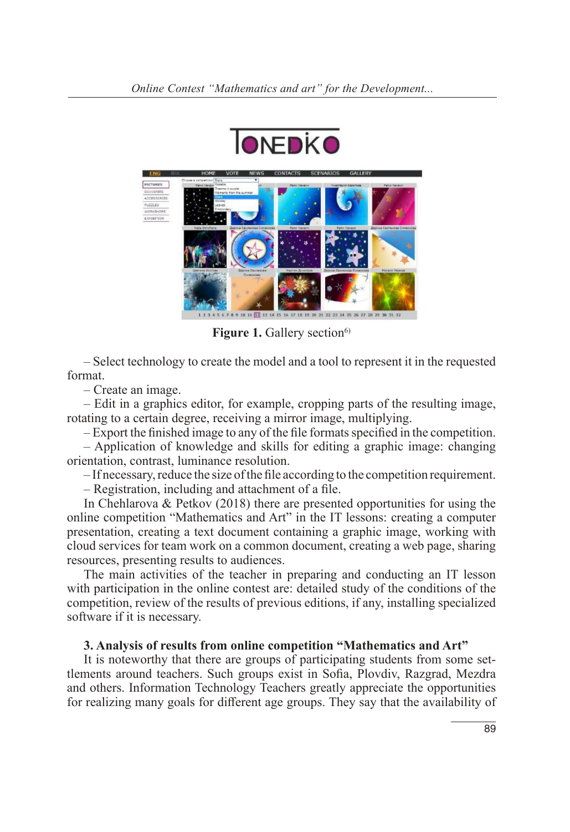



**Figure 1.** Gallery section<sup>6)</sup>

– Select technology to create the model and a tool to represent it in the requested format.

– Create an image.

– Edit in a graphics editor, for example, cropping parts of the resulting image, rotating to a certain degree, receiving a mirror image, multiplying.

– Export the finished image to any of the file formats specified in the competition.

– Application of knowledge and skills for editing a graphic image: changing orientation, contrast, luminance resolution.

– If necessary, reduce the size of the file according to the competition requirement.

– Registration, including and attachment of a file.

In Chehlarova & Petkov (2018) there are presented opportunities for using the online competition "Mathematics and Art" in the IT lessons: creating a computer presentation, creating a text document containing a graphic image, working with cloud services for team work on a common document, creating a web page, sharing resources, presenting results to audiences.

The main activities of the teacher in preparing and conducting an IT lesson with participation in the online contest are: detailed study of the conditions of the competition, review of the results of previous editions, if any, installing specialized software if it is necessary.

### **3. Analysis of results from online competition "Mathematics and Art"**

It is noteworthy that there are groups of participating students from some settlements around teachers. Such groups exist in Sofia, Plovdiv, Razgrad, Mezdra and others. Information Technology Teachers greatly appreciate the opportunities for realizing many goals for different age groups. They say that the availability of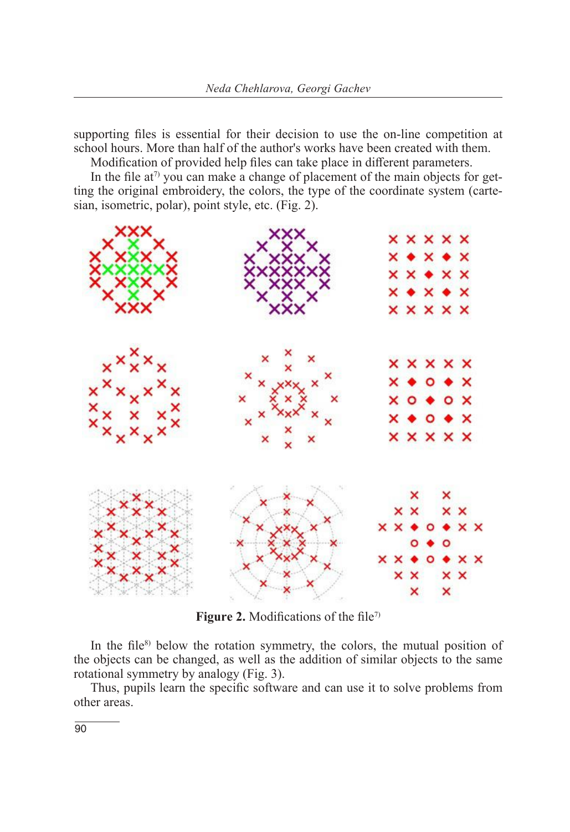supporting files is essential for their decision to use the on-line competition at school hours. More than half of the author's works have been created with them.

Modification of provided help files can take place in different parameters.

In the file at<sup> $\tau$ </sup> you can make a change of placement of the main objects for getting the original embroidery, the colors, the type of the coordinate system (cartesian, isometric, polar), point style, etc. (Fig. 2).



**Figure 2.** Modifications of the file<sup>7)</sup>

In the file<sup>8)</sup> below the rotation symmetry, the colors, the mutual position of the objects can be changed, as well as the addition of similar objects to the same rotational symmetry by analogy (Fig. 3).

Thus, pupils learn the specific software and can use it to solve problems from other areas.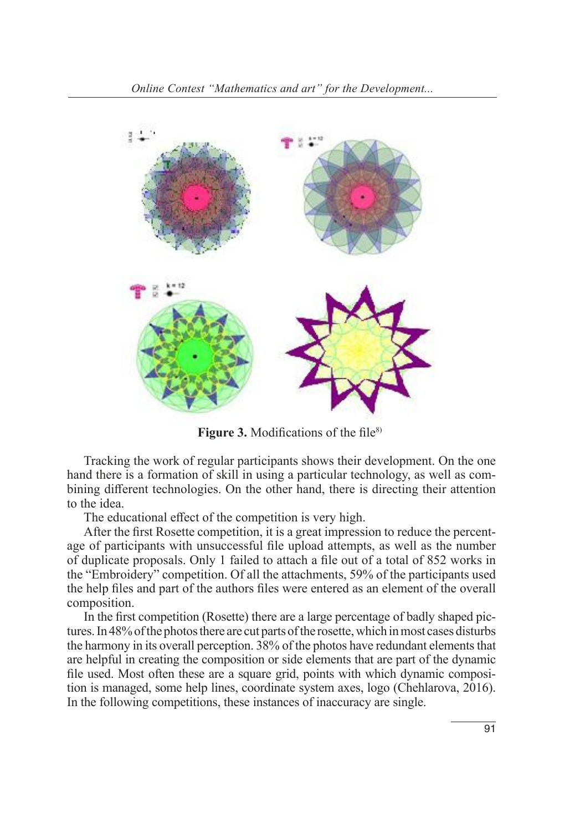

**Figure 3.** Modifications of the file<sup>8)</sup>

Tracking the work of regular participants shows their development. On the one hand there is a formation of skill in using a particular technology, as well as combining different technologies. On the other hand, there is directing their attention to the idea.

The educational effect of the competition is very high.

After the first Rosette competition, it is a great impression to reduce the percentage of participants with unsuccessful file upload attempts, as well as the number of duplicate proposals. Only 1 failed to attach a file out of a total of 852 works in the "Embroidery" competition. Of all the attachments, 59% of the participants used the help files and part of the authors files were entered as an element of the overall composition.

In the first competition (Rosette) there are a large percentage of badly shaped pictures. In 48% of the photos there are cut parts of the rosette, which in most cases disturbs the harmony in its overall perception. 38% of the photos have redundant elements that are helpful in creating the composition or side elements that are part of the dynamic file used. Most often these are a square grid, points with which dynamic composition is managed, some help lines, coordinate system axes, logo (Chehlarova, 2016). In the following competitions, these instances of inaccuracy are single.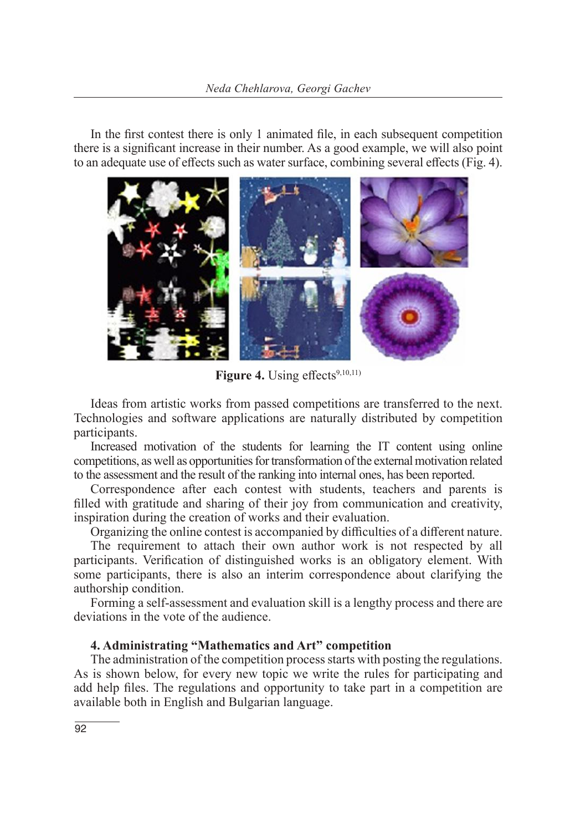In the first contest there is only 1 animated file, in each subsequent competition there is a significant increase in their number. As a good example, we will also point to an adequate use of effects such as water surface, combining several effects (Fig. 4).



Figure 4. Using effects<sup>9,10,11)</sup>

Ideas from artistic works from passed competitions are transferred to the next. Technologies and software applications are naturally distributed by competition participants.

Increased motivation of the students for learning the IT content using online competitions, as well as opportunities for transformation of the external motivation related to the assessment and the result of the ranking into internal ones, has been reported.

Correspondence after each contest with students, teachers and parents is filled with gratitude and sharing of their joy from communication and creativity, inspiration during the creation of works and their evaluation.

Organizing the online contest is accompanied by difficulties of a different nature.

The requirement to attach their own author work is not respected by all participants. Verification of distinguished works is an obligatory element. With some participants, there is also an interim correspondence about clarifying the authorship condition.

Forming a self-assessment and evaluation skill is a lengthy process and there are deviations in the vote of the audience.

### **4. Administrating "Mathematics and Art" competition**

The administration of the competition process starts with posting the regulations. As is shown below, for every new topic we write the rules for participating and add help files. The regulations and opportunity to take part in a competition are available both in English and Bulgarian language.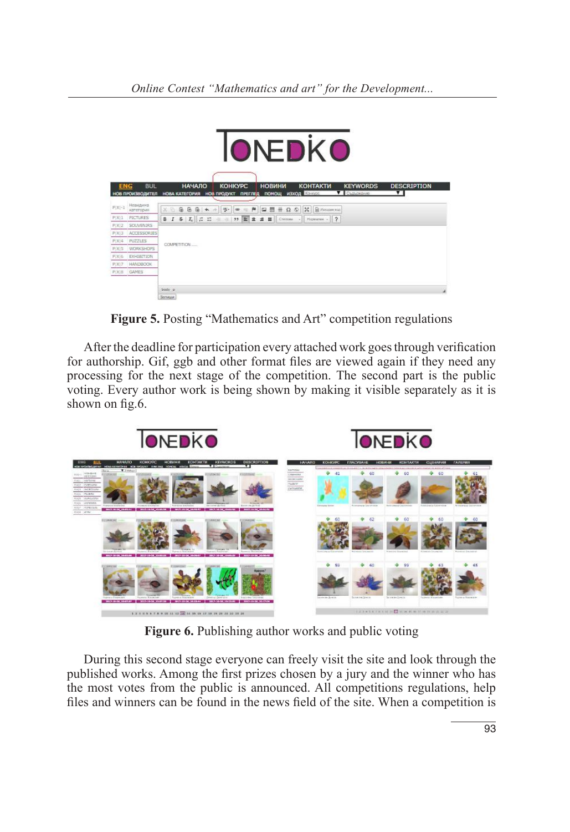

**Figure 5.** Posting "Mathematics and Art" competition regulations

After the deadline for participation every attached work goes through verification for authorship. Gif, ggb and other format files are viewed again if they need any processing for the next stage of the competition. The second part is the public voting. Every author work is being shown by making it visible separately as it is shown on fig.6.



**Figure 6.** Publishing author works and public voting

During this second stage everyone can freely visit the site and look through the published works. Among the first prizes chosen by a jury and the winner who has the most votes from the public is announced. All competitions regulations, help files and winners can be found in the news field of the site. When a competition is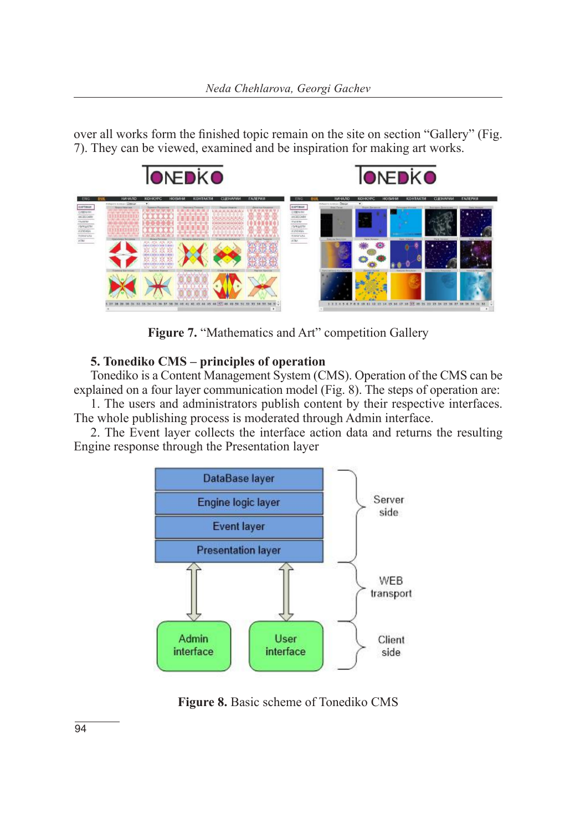over all works form the finished topic remain on the site on section "Gallery" (Fig. 7). They can be viewed, examined and be inspiration for making art works.



Figure 7. "Mathematics and Art" competition Gallery

## **5. Tonediko CMS – principles of operation**

Tonediko is a Content Management System (CMS). Operation of the CMS can be explained on a four layer communication model (Fig. 8). The steps of operation are:

1. The users and administrators publish content by their respective interfaces. The whole publishing process is moderated through Admin interface.

2. The Event layer collects the interface action data and returns the resulting Engine response through the Presentation layer



**Figure 8.** Basic scheme of Tonediko CMS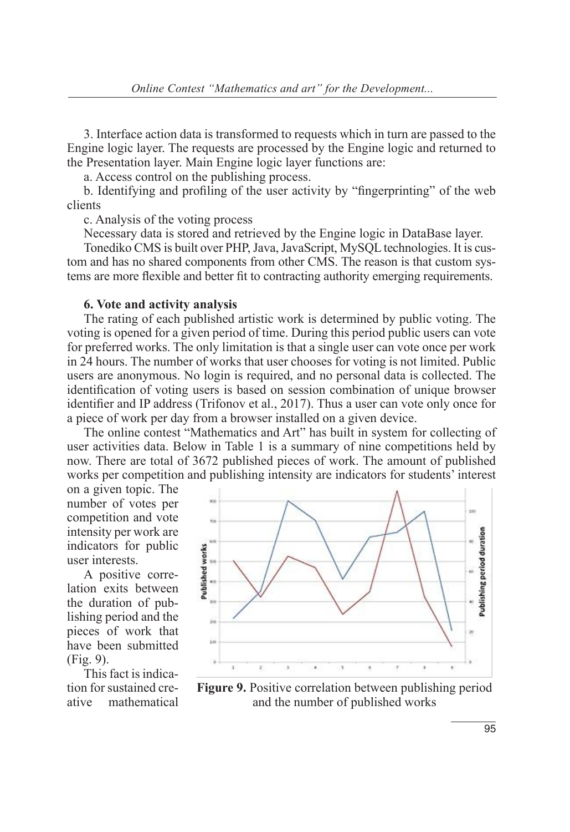3. Interface action data is transformed to requests which in turn are passed to the Engine logic layer. The requests are processed by the Engine logic and returned to the Presentation layer. Main Engine logic layer functions are:

a. Access control on the publishing process.

b. Identifying and profiling of the user activity by "fingerprinting" of the web clients

c. Analysis of the voting process

Necessary data is stored and retrieved by the Engine logic in DataBase layer.

Tonediko CMS is built over PHP, Java, JavaScript, MySQL technologies. It is custom and has no shared components from other CMS. The reason is that custom systems are more flexible and better fit to contracting authority emerging requirements.

#### **6. Vote and activity analysis**

The rating of each published artistic work is determined by public voting. The voting is opened for a given period of time. During this period public users can vote for preferred works. The only limitation is that a single user can vote once per work in 24 hours. The number of works that user chooses for voting is not limited. Public users are anonymous. No login is required, and no personal data is collected. The identification of voting users is based on session combination of unique browser identifier and IP address (Trifonov et al., 2017). Thus a user can vote only once for a piece of work per day from a browser installed on a given device.

The online contest "Mathematics and Art" has built in system for collecting of user activities data. Below in Table 1 is a summary of nine competitions held by now. There are total of 3672 published pieces of work. The amount of published works per competition and publishing intensity are indicators for students' interest

on a given topic. The number of votes per competition and vote intensity per work are indicators for public user interests.

A positive correlation exits between the duration of publishing period and the pieces of work that have been submitted (Fig. 9).

This fact is indication for sustained creative mathematical



**Figure 9.** Positive correlation between publishing period and the number of published works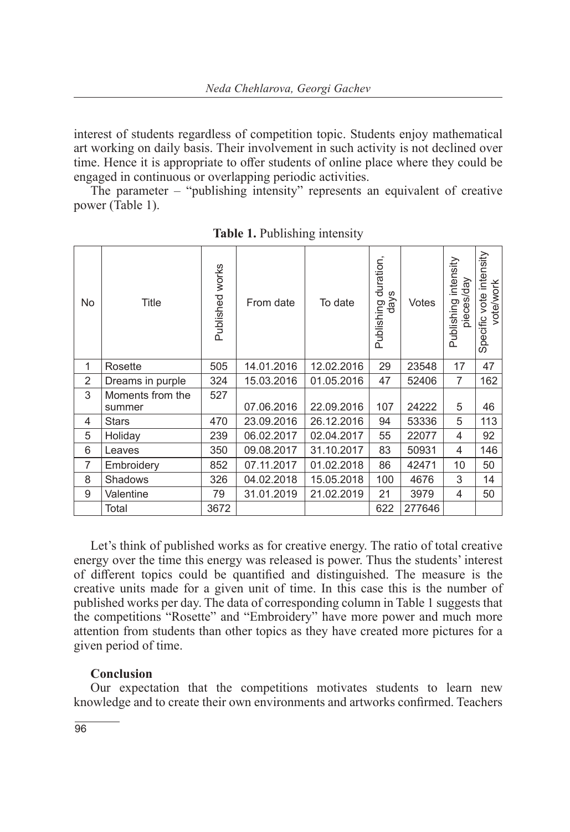interest of students regardless of competition topic. Students enjoy mathematical art working on daily basis. Their involvement in such activity is not declined over time. Hence it is appropriate to offer students of online place where they could be engaged in continuous or overlapping periodic activities.

The parameter – "publishing intensity" represents an equivalent of creative power (Table 1).

| No | Title                      | works<br>Published | From date  | To date    | duration,<br>days<br>Publishing | Votes  | intensity<br>pieces/day<br>Publishing | intensity<br>vote/work<br>Specific vote |
|----|----------------------------|--------------------|------------|------------|---------------------------------|--------|---------------------------------------|-----------------------------------------|
| 1  | Rosette                    | 505                | 14.01.2016 | 12.02.2016 | 29                              | 23548  | 17                                    | 47                                      |
| 2  | Dreams in purple           | 324                | 15.03.2016 | 01.05.2016 | 47                              | 52406  | $\overline{7}$                        | 162                                     |
| 3  | Moments from the<br>summer | 527                | 07.06.2016 | 22.09.2016 | 107                             | 24222  | 5                                     | 46                                      |
| 4  | <b>Stars</b>               | 470                | 23.09.2016 | 26.12.2016 | 94                              | 53336  | 5                                     | 113                                     |
| 5  | Holiday                    | 239                | 06.02.2017 | 02.04.2017 | 55                              | 22077  | 4                                     | 92                                      |
| 6  | Leaves                     | 350                | 09.08.2017 | 31.10.2017 | 83                              | 50931  | 4                                     | 146                                     |
| 7  | Embroidery                 | 852                | 07.11.2017 | 01.02.2018 | 86                              | 42471  | 10                                    | 50                                      |
| 8  | <b>Shadows</b>             | 326                | 04.02.2018 | 15.05.2018 | 100                             | 4676   | 3                                     | 14                                      |
| 9  | Valentine                  | 79                 | 31.01.2019 | 21.02.2019 | 21                              | 3979   | 4                                     | 50                                      |
|    | Total                      | 3672               |            |            | 622                             | 277646 |                                       |                                         |

**Table 1.** Publishing intensity

Let's think of published works as for creative energy. The ratio of total creative energy over the time this energy was released is power. Thus the students' interest of different topics could be quantified and distinguished. The measure is the creative units made for a given unit of time. In this case this is the number of published works per day. The data of corresponding column in Table 1 suggests that the competitions "Rosette" and "Embroidery" have more power and much more attention from students than other topics as they have created more pictures for a given period of time.

### **Conclusion**

Our expectation that the competitions motivates students to learn new knowledge and to create their own environments and artworks confirmed. Teachers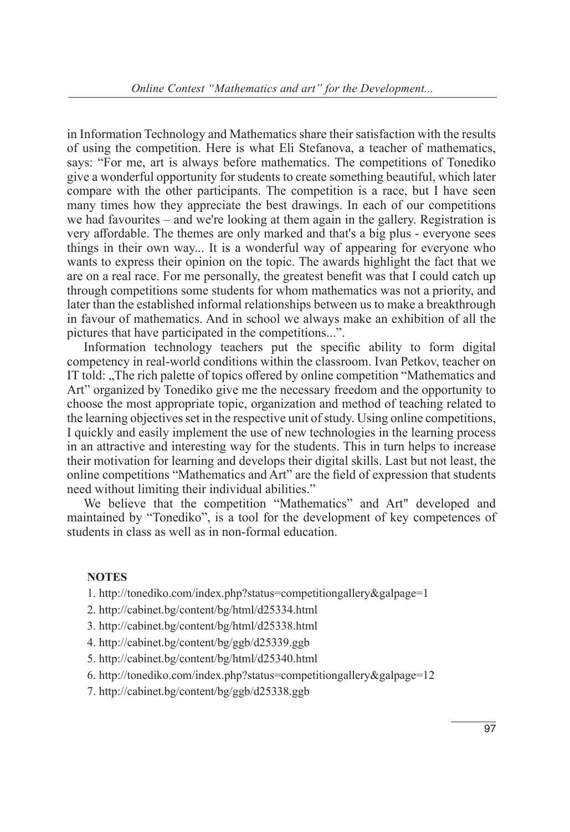in Information Technology and Mathematics share their satisfaction with the results of using the competition. Here is what Eli Stefanova, a teacher of mathematics, says: "For me, art is always before mathematics. The competitions of Tonediko give a wonderful opportunity for students to create something beautiful, which later compare with the other participants. The competition is a race, but I have seen many times how they appreciate the best drawings. In each of our competitions we had favourites – and we're looking at them again in the gallery. Registration is very affordable. The themes are only marked and that's a big plus - everyone sees things in their own way... It is a wonderful way of appearing for everyone who wants to express their opinion on the topic. The awards highlight the fact that we are on a real race. For me personally, the greatest benefit was that I could catch up through competitions some students for whom mathematics was not a priority, and later than the established informal relationships between us to make a breakthrough in favour of mathematics. And in school we always make an exhibition of all the pictures that have participated in the competitions...".

Information technology teachers put the specific ability to form digital competency in real-world conditions within the classroom. Ivan Petkov, teacher on IT told: "The rich palette of topics offered by online competition "Mathematics and Art" organized by Tonediko give me the necessary freedom and the opportunity to choose the most appropriate topic, organization and method of teaching related to the learning objectives set in the respective unit of study. Using online competitions, I quickly and easily implement the use of new technologies in the learning process in an attractive and interesting way for the students. This in turn helps to increase their motivation for learning and develops their digital skills. Last but not least, the online competitions "Mathematics and Art" are the field of expression that students need without limiting their individual abilities."

We believe that the competition "Mathematics" and Art" developed and maintained by "Tonediko", is a tool for the development of key competences of students in class as well as in non-formal education.

### **NOTES**

- 1. http://tonediko.com/index.php?status=competitiongallery&galpage=1
- 2. http://cabinet.bg/content/bg/html/d25334.html
- 3. http://cabinet.bg/content/bg/html/d25338.html
- 4. http://cabinet.bg/content/bg/ggb/d25339.ggb
- 5. http://cabinet.bg/content/bg/html/d25340.html
- 6. http://tonediko.com/index.php?status=competitiongallery&galpage=12
- 7. http://cabinet.bg/content/bg/ggb/d25338.ggb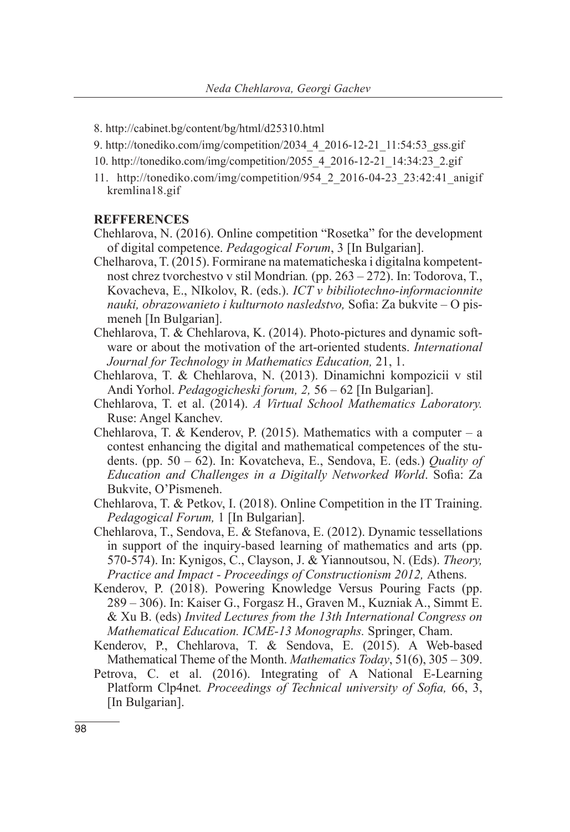- 8. http://cabinet.bg/content/bg/html/d25310.html
- 9. http://tonediko.com/img/competition/2034\_4\_2016-12-21\_11:54:53\_gss.gif
- 10. http://tonediko.com/img/competition/2055\_4\_2016-12-21\_14:34:23\_2.gif
- 11. http://tonediko.com/img/competition/954\_2\_2016-04-23\_23:42:41\_anigif kremlina18.gif

#### **REFFERENCES**

- Chehlarova, N. (2016). Online competition "Rosetka" for the development of digital competence. *Pedagogical Forum*, 3 [In Bulgarian].
- Chelharova, T. (2015). Formirane na matematicheska i digitalna kompetentnost chrez tvorchestvo v stil Mondrian*.* (pp. 263 – 272). In: Todorova, T., Kovacheva, E., NIkolov, R. (eds.). *ICT v bibiliotechno-informacionnite nauki, obrazowanieto i kulturnoto nasledstvo,* Sofia: Za bukvite – О pismeneh [In Bulgarian].
- Chehlarova, T. & Chehlarova, K. (2014). Photo-pictures and dynamic software or about the motivation of the art-oriented students. *International Journal for Technology in Mathematics Education,* 21, 1.
- Chehlarova, T. & Chehlarova, N. (2013). Dinamichni kompozicii v stil Andi Yorhol. *Pedagogicheski forum, 2,* 56 – 62 [In Bulgarian].
- Chehlarova, T. et al. (2014). *A Virtual School Mathematics Laboratory.*  Ruse: Angel Kanchev.
- Chehlarova, T. & Kenderov, P. (2015). Mathematics with a computer a contest enhancing the digital and mathematical competences of the students. (pp. 50 – 62). In: Kovatcheva, E., Sendova, E. (eds.) *Quality of Education and Challenges in a Digitally Networked World*. Sofia: Za Bukvite, O'Pismeneh.
- Chehlarova, T. & Petkov, I. (2018). Online Competition in the IT Training. *Pedagogical Forum,* 1 [In Bulgarian].
- Chehlarova, T., Sendova, E. & Stefanova, E. (2012). Dynamic tessellations in support of the inquiry-based learning of mathematics and arts (pp. 570-574). In: Kynigos, C., Clayson, J. & Yiannoutsou, N. (Eds). *Theory, Practice and Impact - Proceedings of Constructionism 2012,* Athens.
- Kenderov, P. (2018). Powering Knowledge Versus Pouring Facts (pp. 289 – 306). In: Kaiser G., Forgasz H., Graven M., Kuzniak A., Simmt E. & Xu B. (eds) *Invited Lectures from the 13th International Congress on Mathematical Education. ICME-13 Monographs.* Springer, Cham.
- Kenderov, P., Chehlarova, T. & Sendova, E. (2015). A Web-based Mathematical Theme of the Month. *Mathematics Today*, 51(6), 305 – 309.
- Petrova, C. et al. (2016). Integrating of A National E-Learning Platform Clp4net*. Proceedings of Technical university of Sofia,* 66, 3, [In Bulgarian].